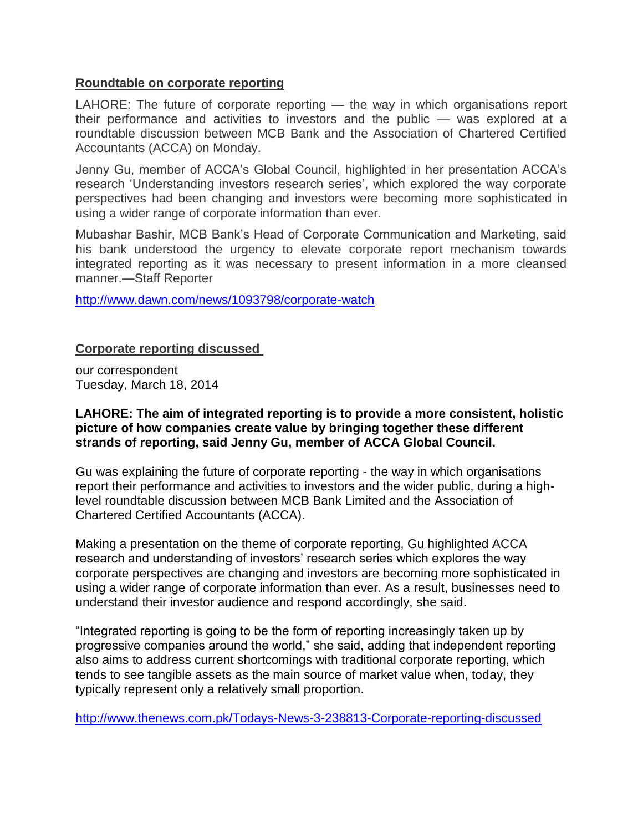## **Roundtable on corporate reporting**

LAHORE: The future of corporate reporting — the way in which organisations report their performance and activities to investors and the public — was explored at a roundtable discussion between MCB Bank and the Association of Chartered Certified Accountants (ACCA) on Monday.

Jenny Gu, member of ACCA's Global Council, highlighted in her presentation ACCA's research 'Understanding investors research series', which explored the way corporate perspectives had been changing and investors were becoming more sophisticated in using a wider range of corporate information than ever.

Mubashar Bashir, MCB Bank's Head of Corporate Communication and Marketing, said his bank understood the urgency to elevate corporate report mechanism towards integrated reporting as it was necessary to present information in a more cleansed manner.—Staff Reporter

<http://www.dawn.com/news/1093798/corporate-watch>

## **Corporate reporting discussed**

our correspondent Tuesday, March 18, 2014

## **LAHORE: The aim of integrated reporting is to provide a more consistent, holistic picture of how companies create value by bringing together these different strands of reporting, said Jenny Gu, member of ACCA Global Council.**

Gu was explaining the future of corporate reporting - the way in which organisations report their performance and activities to investors and the wider public, during a highlevel roundtable discussion between MCB Bank Limited and the Association of Chartered Certified Accountants (ACCA).

Making a presentation on the theme of corporate reporting, Gu highlighted ACCA research and understanding of investors' research series which explores the way corporate perspectives are changing and investors are becoming more sophisticated in using a wider range of corporate information than ever. As a result, businesses need to understand their investor audience and respond accordingly, she said.

"Integrated reporting is going to be the form of reporting increasingly taken up by progressive companies around the world," she said, adding that independent reporting also aims to address current shortcomings with traditional corporate reporting, which tends to see tangible assets as the main source of market value when, today, they typically represent only a relatively small proportion.

<http://www.thenews.com.pk/Todays-News-3-238813-Corporate-reporting-discussed>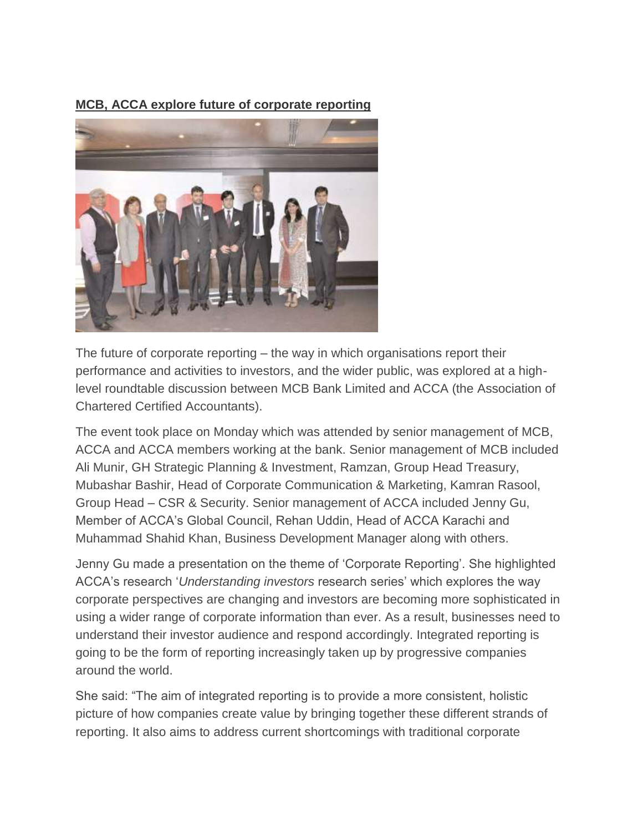## **MCB, ACCA explore future of corporate reporting**



The future of corporate reporting – the way in which organisations report their performance and activities to investors, and the wider public, was explored at a highlevel roundtable discussion between MCB Bank Limited and ACCA (the Association of Chartered Certified Accountants).

The event took place on Monday which was attended by senior management of MCB, ACCA and ACCA members working at the bank. Senior management of MCB included Ali Munir, GH Strategic Planning & Investment, Ramzan, Group Head Treasury, Mubashar Bashir, Head of Corporate Communication & Marketing, Kamran Rasool, Group Head – CSR & Security. Senior management of ACCA included Jenny Gu, Member of ACCA's Global Council, Rehan Uddin, Head of ACCA Karachi and Muhammad Shahid Khan, Business Development Manager along with others.

Jenny Gu made a presentation on the theme of 'Corporate Reporting'. She highlighted ACCA's research '*Understanding investors* research series' which explores the way corporate perspectives are changing and investors are becoming more sophisticated in using a wider range of corporate information than ever. As a result, businesses need to understand their investor audience and respond accordingly. Integrated reporting is going to be the form of reporting increasingly taken up by progressive companies around the world.

She said: "The aim of integrated reporting is to provide a more consistent, holistic picture of how companies create value by bringing together these different strands of reporting. It also aims to address current shortcomings with traditional corporate